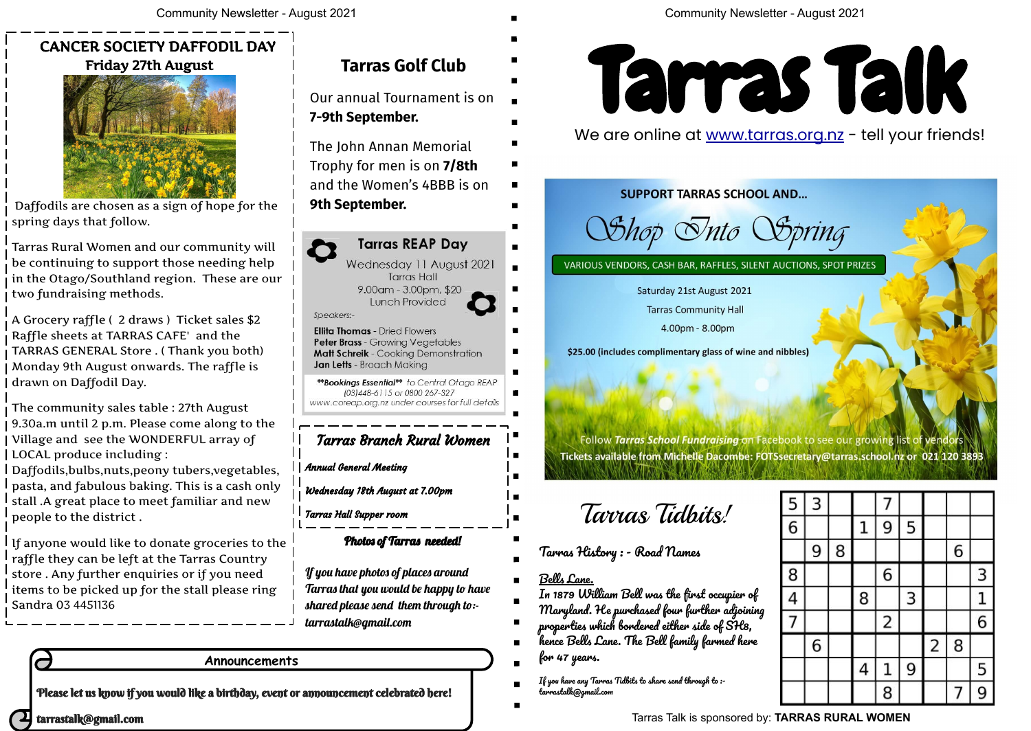Please let us know if you would like a birthday, event or announcement celebrated here!

tarrastalk@gmail.com

#### **Announcements**

Tarras Talk is sponsored by: **TARRAS RURAL WOMEN**



#### We are online at www.tarras.org.nz - tell your friends!

**SUPPORT TARRAS SCHOOL AND...** 

*Shop Snto Spring* 

VARIOUS VENDORS, CASH BAR, RAFFLES, SILENT AUCTIONS, SPOT PRIZES

\$25.00 (includes complimentary glass of wine and nibbles)

Follow Tarras School Fundraising on Facebook to see our growing list of vend Tickets available from Michelle Dacombe: FOTSsecretary@tarras.school.nz or 021 120 3893

| 5              | 3 |   |   | 7 |   |                         |   |   |
|----------------|---|---|---|---|---|-------------------------|---|---|
| $\overline{6}$ |   |   | 1 | 9 | 5 |                         |   |   |
|                | 9 | 8 |   |   |   |                         | 6 |   |
| 8              |   |   |   | 6 |   |                         |   | 3 |
| $\overline{a}$ |   |   | 8 |   | 3 |                         |   | 1 |
| 7              |   |   |   | 2 |   |                         |   | 6 |
|                | 6 |   |   |   |   | $\overline{\mathbf{c}}$ | 8 |   |
|                |   |   | 4 | 1 | 9 |                         |   | 5 |
|                |   |   |   | 8 |   |                         | 7 | 9 |

### CANCER SOCIETY DAFFODIL DAY Friday 27th August



 Daffodils are chosen as a sign of hope for the spring days that follow.

Tarras Rural Women and our community will be continuing to support those needing help in the Otago/Southland region. These are our two fundraising methods.

If anyone would like to donate groceries to the raffle they can be left at the Tarras Country store . Any further enquiries or if you need items to be picked up for the stall please ring Sandra 03 4451136

A Grocery raffle ( 2 draws ) Ticket sales \$2 Raffle sheets at TARRAS CAFE' and the TARRAS GENERAL Store . ( Thank you both) Monday 9th August onwards. The raffle is drawn on Daffodil Day.

The community sales table : 27th August 9.30a.m until 2 p.m. Please come along to the Village and see the WONDERFUL array of LOCAL produce including :

Daffodils,bulbs,nuts,peony tubers,vegetables, pasta, and fabulous baking. This is a cash only stall .A great place to meet familiar and new people to the district .

## **Tarras Golf Club**

Our annual Tournament is on **7-9th September.** 

The John Annan Memorial Trophy for men is on **7/8th**  and the Women's 4BBB is on **9th September.** 



Annual General Meeting

Wednesday 18th August at 7.00pm

Tarras Hall Supper room

#### Photos of Tarras needed!

If you have photos of places around Tarras that you would be happy to have shared please send them through to: tarrastalk@gmail.com

Tarras Tidbits!

Saturday 21st August 2021

**Tarras Community Hall** 

4.00pm - 8.00pm

Tarras History : - Road Names

Bells Lane.

In 1879 William Bell was the first occupier of Maryland. He purchased four further adjoining properties which bordered either side of SH8,